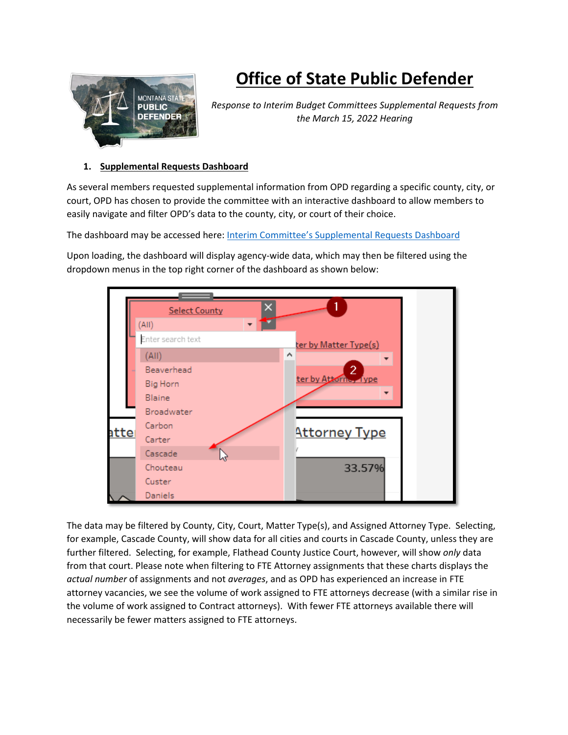

## **Office of State Public Defender**

*Response to Interim Budget Committees Supplemental Requests from the March 15, 2022 Hearing*

## **1. Supplemental Requests Dashboard**

As several members requested supplemental information from OPD regarding a specific county, city, or court, OPD has chosen to provide the committee with an interactive dashboard to allow members to easily navigate and filter OPD's data to the county, city, or court of their choice.

The dashboard may be accessed here: [Interim Committee's Supplemental Requests Dashboard](https://tableau-ext.mt.gov/t/OPD/views/OPDSupplementalMaterialsMarch2022/LegUpdates?:showAppBanner=false&:display_count=n&:showVizHome=n&:origin=viz_share_link)

Upon loading, the dashboard will display agency-wide data, which may then be filtered using the dropdown menus in the top right corner of the dashboard as shown below:



The data may be filtered by County, City, Court, Matter Type(s), and Assigned Attorney Type. Selecting, for example, Cascade County, will show data for all cities and courts in Cascade County, unless they are further filtered. Selecting, for example, Flathead County Justice Court, however, will show *only* data from that court. Please note when filtering to FTE Attorney assignments that these charts displays the *actual number* of assignments and not *averages*, and as OPD has experienced an increase in FTE attorney vacancies, we see the volume of work assigned to FTE attorneys decrease (with a similar rise in the volume of work assigned to Contract attorneys). With fewer FTE attorneys available there will necessarily be fewer matters assigned to FTE attorneys.